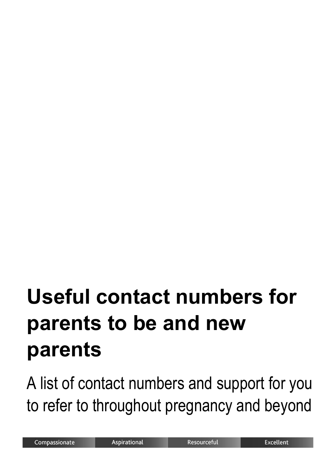# **Useful contact numbers for parents to be and new parents**

A list of contact numbers and support for you to refer to throughout pregnancy and beyond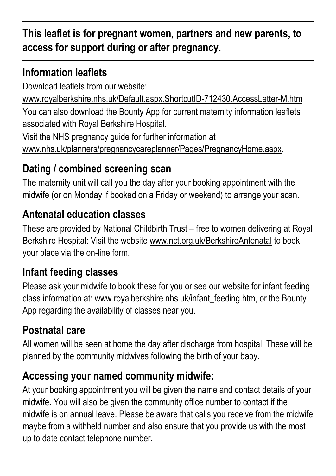## **This leaflet is for pregnant women, partners and new parents, to access for support during or after pregnancy.**

## **Information leaflets**

Download leaflets from our website:

[www.royalberkshire.nhs.uk/Default.aspx.ShortcutID-712430.AccessLetter-M.htm](http://www.royalberkshire.nhs.uk/Default.aspx.ShortcutID-712430.AccessLetter-M.htm) You can also download the Bounty App for current maternity information leaflets associated with Royal Berkshire Hospital.

Visit the NHS pregnancy guide for further information at [www.nhs.uk/planners/pregnancycareplanner/Pages/PregnancyHome.aspx.](http://www.nhs.uk/planners/pregnancycareplanner/Pages/PregnancyHome.aspx)

# **Dating / combined screening scan**

The maternity unit will call you the day after your booking appointment with the midwife (or on Monday if booked on a Friday or weekend) to arrange your scan.

## **Antenatal education classes**

These are provided by National Childbirth Trust – free to women delivering at Royal Berkshire Hospital: Visit the website [www.nct.org.uk/BerkshireAntenatal](http://www.nct.org.uk/BerkshireAntenatal) to book your place via the on-line form.

## **Infant feeding classes**

Please ask your midwife to book these for you or see our website for infant feeding class information at: [www.royalberkshire.nhs.uk/infant\\_feeding.htm,](http://www.royalberkshire.nhs.uk/infant_feeding.htm) or the Bounty App regarding the availability of classes near you.

# **Postnatal care**

All women will be seen at home the day after discharge from hospital. These will be planned by the community midwives following the birth of your baby.

# **Accessing your named community midwife:**

At your booking appointment you will be given the name and contact details of your midwife. You will also be given the community office number to contact if the midwife is on annual leave. Please be aware that calls you receive from the midwife maybe from a withheld number and also ensure that you provide us with the most up to date contact telephone number.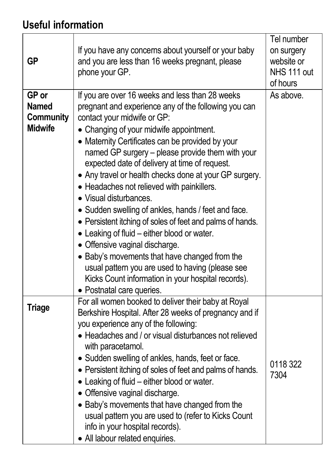# **Useful information**

| <b>GP</b>                                            | If you have any concerns about yourself or your baby<br>and you are less than 16 weeks pregnant, please<br>phone your GP.                                                                                                                                                                                                                                                                                                                                                                                                                                                                                                                                                                                                                                                                                                                                                 | Tel number<br>on surgery<br>website or<br>NHS 111 out<br>of hours |
|------------------------------------------------------|---------------------------------------------------------------------------------------------------------------------------------------------------------------------------------------------------------------------------------------------------------------------------------------------------------------------------------------------------------------------------------------------------------------------------------------------------------------------------------------------------------------------------------------------------------------------------------------------------------------------------------------------------------------------------------------------------------------------------------------------------------------------------------------------------------------------------------------------------------------------------|-------------------------------------------------------------------|
| GP or<br><b>Named</b><br>Community<br><b>Midwife</b> | If you are over 16 weeks and less than 28 weeks<br>pregnant and experience any of the following you can<br>contact your midwife or GP:<br>• Changing of your midwife appointment.<br>• Maternity Certificates can be provided by your<br>named GP surgery – please provide them with your<br>expected date of delivery at time of request.<br>• Any travel or health checks done at your GP surgery.<br>• Headaches not relieved with painkillers.<br>• Visual disturbances.<br>• Sudden swelling of ankles, hands / feet and face.<br>• Persistent itching of soles of feet and palms of hands.<br>• Leaking of fluid – either blood or water.<br>• Offensive vaginal discharge.<br>• Baby's movements that have changed from the<br>usual pattern you are used to having (please see<br>Kicks Count information in your hospital records).<br>• Postnatal care queries. | As above.                                                         |
| <b>Triage</b>                                        | For all women booked to deliver their baby at Royal<br>Berkshire Hospital. After 28 weeks of pregnancy and if<br>you experience any of the following:<br>• Headaches and / or visual disturbances not relieved<br>with paracetamol.<br>• Sudden swelling of ankles, hands, feet or face.<br>• Persistent itching of soles of feet and palms of hands.<br>• Leaking of fluid – either blood or water.<br>• Offensive vaginal discharge.<br>• Baby's movements that have changed from the<br>usual pattern you are used to (refer to Kicks Count<br>info in your hospital records).<br>• All labour related enquiries.                                                                                                                                                                                                                                                      | 0118 322<br>7304                                                  |